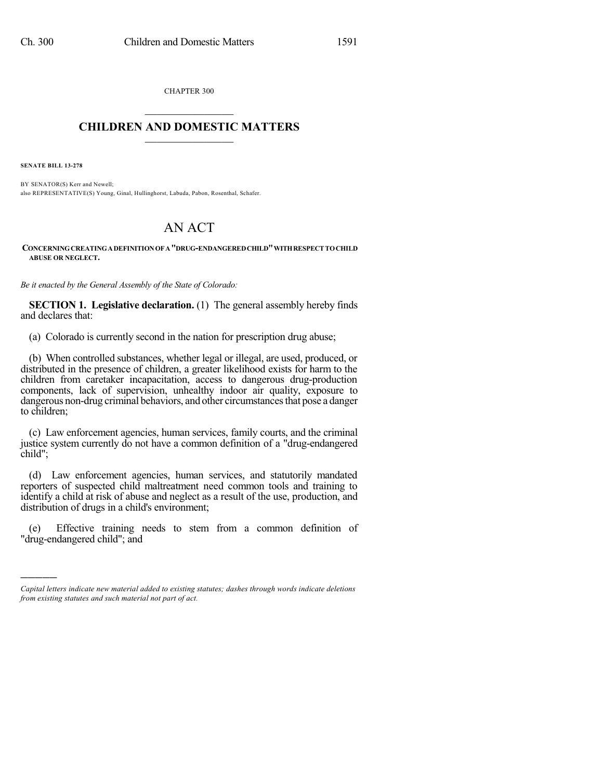CHAPTER 300  $\mathcal{L}_\text{max}$  . The set of the set of the set of the set of the set of the set of the set of the set of the set of the set of the set of the set of the set of the set of the set of the set of the set of the set of the set

## **CHILDREN AND DOMESTIC MATTERS**  $\_$

**SENATE BILL 13-278**

)))))

BY SENATOR(S) Kerr and Newell; also REPRESENTATIVE(S) Young, Ginal, Hullinghorst, Labuda, Pabon, Rosenthal, Schafer.

## AN ACT

**CONCERNINGCREATINGADEFINITIONOF A"DRUG-ENDANGEREDCHILD"WITHRESPECT TOCHILD ABUSE OR NEGLECT.**

*Be it enacted by the General Assembly of the State of Colorado:*

**SECTION 1. Legislative declaration.** (1) The general assembly hereby finds and declares that:

(a) Colorado is currently second in the nation for prescription drug abuse;

(b) When controlled substances, whether legal or illegal, are used, produced, or distributed in the presence of children, a greater likelihood exists for harm to the children from caretaker incapacitation, access to dangerous drug-production components, lack of supervision, unhealthy indoor air quality, exposure to dangerous non-drug criminal behaviors, and other circumstances that pose a danger to children;

(c) Law enforcement agencies, human services, family courts, and the criminal justice system currently do not have a common definition of a "drug-endangered child";

(d) Law enforcement agencies, human services, and statutorily mandated reporters of suspected child maltreatment need common tools and training to identify a child at risk of abuse and neglect as a result of the use, production, and distribution of drugs in a child's environment;

(e) Effective training needs to stem from a common definition of "drug-endangered child"; and

*Capital letters indicate new material added to existing statutes; dashes through words indicate deletions from existing statutes and such material not part of act.*